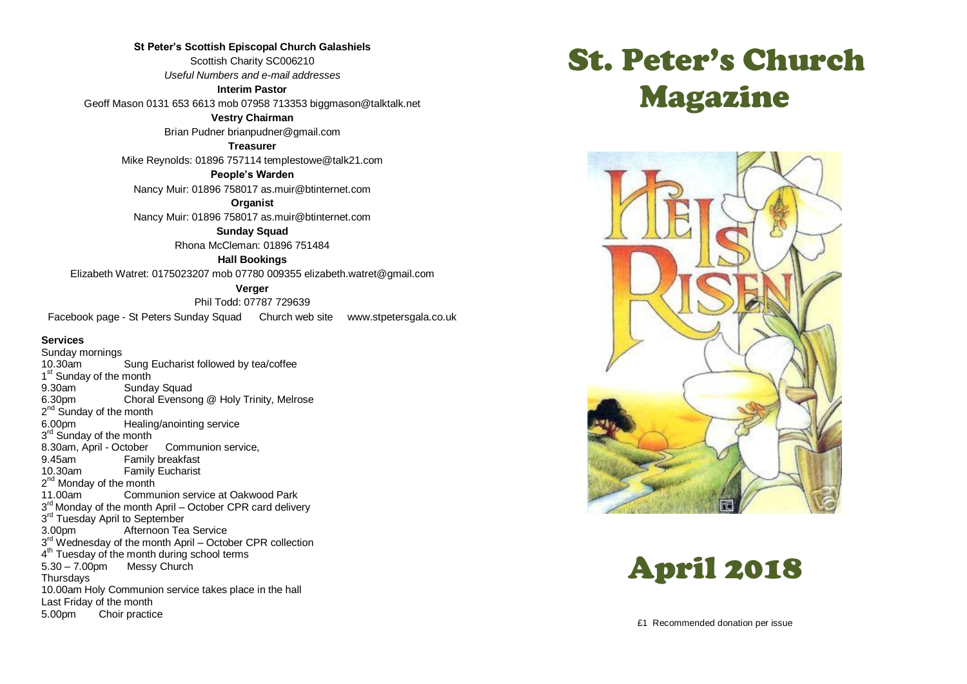**St Peter's Scottish Episcopal Church Galashiels** Scottish Charity SC006210 *Useful Numbers and e-mail addresses*

**Interim Pastor**

Geoff Mason 0131 653 6613 mob 07958 713353 biggmason@talktalk.net

**Vestry Chairman**

Brian Pudner brianpudner@gmail.com

**Treasurer**

Mike Reynolds: 01896 757114 templestowe@talk21.com

**People's Warden**

Nancy Muir: 01896 758017 as.muir@btinternet.com

**Organist**

Nancy Muir: 01896 758017 as.muir@btinternet.com

**Sunday Squad** Rhona McCleman: 01896 751484

**Hall Bookings**

Elizabeth Watret: 0175023207 mob 07780 009355 elizabeth.watret@gmail.com

**Verger**

Phil Todd: 07787 729639 Facebook page - St Peters Sunday Squad Church web site www.stpetersgala.co.uk

#### **Services**

Sunday mornings 10.30am Sung Eucharist followed by tea/coffee 1<sup>st</sup> Sunday of the month 9.30am Sunday Squad<br>6.30pm Choral Evensor Choral Evensong @ Holy Trinity, Melrose 2<sup>nd</sup> Sunday of the month 6.00pm Healing/anointing service 3<sup>rd</sup> Sunday of the month 8.30am, April - October Communion service, 9.45am Family breakfast<br>10.30am Family Fucharist **Family Eucharist** 2<sup>nd</sup> Monday of the month 11.00am Communion service at Oakwood Park 3<sup>rd</sup> Monday of the month April – October CPR card delivery 3<sup>rd</sup> Tuesday April to September 3.00pm Afternoon Tea Service 3<sup>rd</sup> Wednesday of the month April – October CPR collection 4<sup>th</sup> Tuesday of the month during school terms 5.30 – 7.00pm Messy Church **Thursdays** 10.00am Holy Communion service takes place in the hall Last Friday of the month 5.00pm Choir practice

# St. Peter's Church Magazine



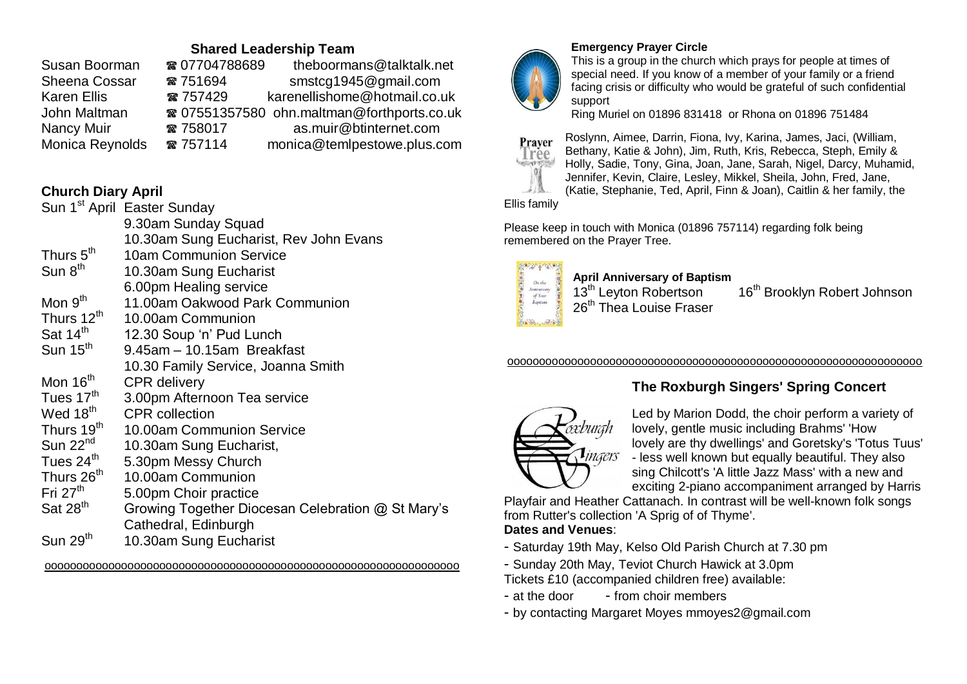# **Shared Leadership Team**

| Susan Boorman      | ☎ 07704788689 | theboormans@talktalk.net                   |
|--------------------|---------------|--------------------------------------------|
| Sheena Cossar      | ☎ 751694      | smstcg1945@gmail.com                       |
| <b>Karen Ellis</b> | ☎ 757429      | karenellishome@hotmail.co.uk               |
| John Maltman       |               | ☎ 07551357580 ohn.maltman@forthports.co.uk |
| Nancy Muir         | ☎ 758017      | as.muir@btinternet.com                     |
| Monica Reynolds    | ☎ 757114      | monica@temlpestowe.plus.com                |

# **Church Diary April**

|                        | Sun 1 <sup>st</sup> April Easter Sunday           |
|------------------------|---------------------------------------------------|
|                        | 9.30am Sunday Squad                               |
|                        | 10.30am Sung Eucharist, Rev John Evans            |
| Thurs 5 <sup>th</sup>  | <b>10am Communion Service</b>                     |
| Sun $8th$              | 10.30am Sung Eucharist                            |
|                        | 6.00pm Healing service                            |
| Mon $9th$              | 11.00am Oakwood Park Communion                    |
| Thurs 12 <sup>th</sup> | 10.00am Communion                                 |
| Sat 14 <sup>th</sup>   | 12.30 Soup 'n' Pud Lunch                          |
| Sun $15th$             | 9.45am - 10.15am Breakfast                        |
|                        | 10.30 Family Service, Joanna Smith                |
| Mon 16 <sup>th</sup>   | <b>CPR</b> delivery                               |
| Tues 17 <sup>th</sup>  | 3.00pm Afternoon Tea service                      |
| Wed 18 <sup>th</sup>   | <b>CPR</b> collection                             |
| Thurs 19 <sup>th</sup> | 10.00am Communion Service                         |
| Sun 22 <sup>nd</sup>   | 10.30am Sung Eucharist,                           |
| Tues 24 <sup>th</sup>  | 5.30pm Messy Church                               |
| Thurs 26 <sup>th</sup> | 10.00am Communion                                 |
| Fri $27th$             | 5.00pm Choir practice                             |
| Sat 28 <sup>th</sup>   | Growing Together Diocesan Celebration @ St Mary's |
|                        | Cathedral, Edinburgh                              |
| Sun 29 <sup>th</sup>   | 10.30am Sung Eucharist                            |

ooooooooooooooooooooooooooooooooooooooooooooooooooooooooooooooooo



# **Emergency Prayer Circle**

This is a group in the church which prays for people at times of special need. If you know of a member of your family or a friend facing crisis or difficulty who would be grateful of such confidential support

Ring Muriel on 01896 831418 or Rhona on 01896 751484



Roslynn, Aimee, Darrin, Fiona, Ivy, Karina, James, Jaci, (William, Bethany, Katie & John), Jim, Ruth, Kris, Rebecca, Steph, Emily & Holly, Sadie, Tony, Gina, Joan, Jane, Sarah, Nigel, Darcy, Muhamid, Jennifer, Kevin, Claire, Lesley, Mikkel, Sheila, John, Fred, Jane, (Katie, Stephanie, Ted, April, Finn & Joan), Caitlin & her family, the

Ellis family

Please keep in touch with Monica (01896 757114) regarding folk being remembered on the Prayer Tree.



**April Anniversary of Baptism** 26<sup>th</sup> Thea Louise Fraser

16<sup>th</sup> Brooklyn Robert Johnson

#### ooooooooooooooooooooooooooooooooooooooooooooooooooooooooooooooooo

# **The Roxburgh Singers' Spring Concert**



Led by Marion Dodd, the choir perform a variety of lovely, gentle music including Brahms' 'How lovely are thy dwellings' and Goretsky's 'Totus Tuus' - less well known but equally beautiful. They also sing Chilcott's 'A little Jazz Mass' with a new and exciting 2-piano accompaniment arranged by Harris

Playfair and Heather Cattanach. In contrast will be well-known folk songs from Rutter's collection 'A Sprig of of Thyme'. **Dates and Venues**:

- Saturday 19th May, Kelso Old Parish Church at 7.30 pm
- Sunday 20th May, Teviot Church Hawick at 3.0pm

Tickets £10 (accompanied children free) available:

- $-$  at the door  $-$  from choir members
- by contacting Margaret Moyes mmoyes2@gmail.com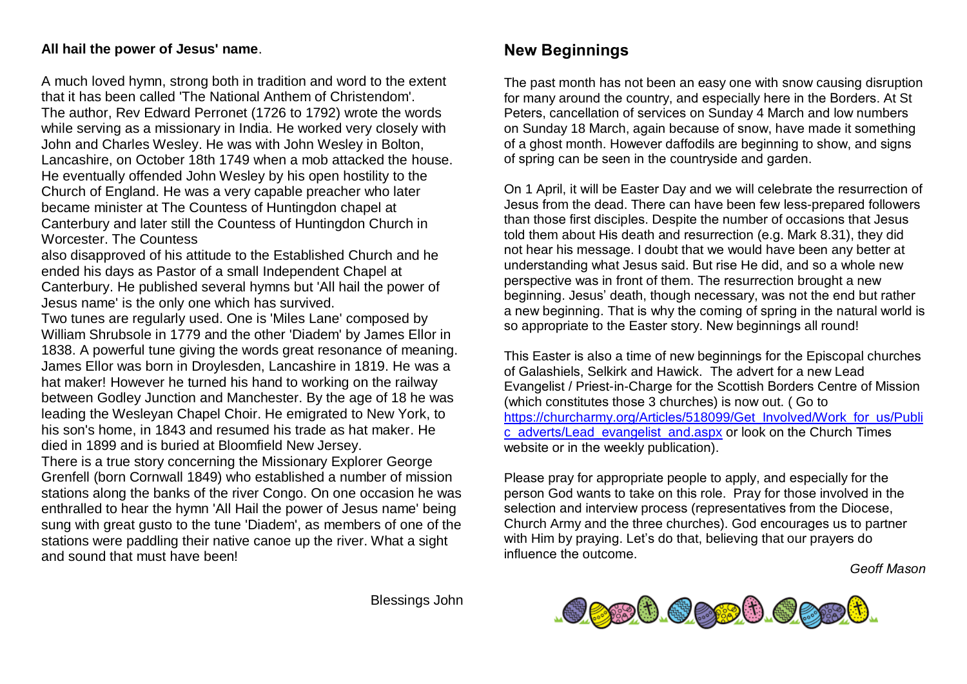### **All hail the power of Jesus' name**.

A much loved hymn, strong both in tradition and word to the extent that it has been called 'The National Anthem of Christendom'. The author, Rev Edward Perronet (1726 to 1792) wrote the words while serving as a missionary in India. He worked very closely with John and Charles Wesley. He was with John Wesley in Bolton, Lancashire, on October 18th 1749 when a mob attacked the house. He eventually offended John Wesley by his open hostility to the Church of England. He was a very capable preacher who later became minister at The Countess of Huntingdon chapel at Canterbury and later still the Countess of Huntingdon Church in Worcester. The Countess

also disapproved of his attitude to the Established Church and he ended his days as Pastor of a small Independent Chapel at Canterbury. He published several hymns but 'All hail the power of Jesus name' is the only one which has survived.

Two tunes are regularly used. One is 'Miles Lane' composed by William Shrubsole in 1779 and the other 'Diadem' by James Ellor in 1838. A powerful tune giving the words great resonance of meaning. James Ellor was born in Droylesden, Lancashire in 1819. He was a hat maker! However he turned his hand to working on the railway between Godley Junction and Manchester. By the age of 18 he was leading the Wesleyan Chapel Choir. He emigrated to New York, to his son's home, in 1843 and resumed his trade as hat maker. He died in 1899 and is buried at Bloomfield New Jersey.

There is a true story concerning the Missionary Explorer George Grenfell (born Cornwall 1849) who established a number of mission stations along the banks of the river Congo. On one occasion he was enthralled to hear the hymn 'All Hail the power of Jesus name' being sung with great gusto to the tune 'Diadem', as members of one of the stations were paddling their native canoe up the river. What a sight and sound that must have been!

# **New Beginnings**

The past month has not been an easy one with snow causing disruption for many around the country, and especially here in the Borders. At St Peters, cancellation of services on Sunday 4 March and low numbers on Sunday 18 March, again because of snow, have made it something of a ghost month. However daffodils are beginning to show, and signs of spring can be seen in the countryside and garden.

On 1 April, it will be Easter Day and we will celebrate the resurrection of Jesus from the dead. There can have been few less-prepared followers than those first disciples. Despite the number of occasions that Jesus told them about His death and resurrection (e.g. Mark 8.31), they did not hear his message. I doubt that we would have been any better at understanding what Jesus said. But rise He did, and so a whole new perspective was in front of them. The resurrection brought a new beginning. Jesus' death, though necessary, was not the end but rather a new beginning. That is why the coming of spring in the natural world is so appropriate to the Easter story. New beginnings all round!

This Easter is also a time of new beginnings for the Episcopal churches of Galashiels, Selkirk and Hawick. The advert for a new Lead Evangelist / Priest-in-Charge for the Scottish Borders Centre of Mission (which constitutes those 3 churches) is now out. ( Go to https://churcharmy.org/Articles[/518099/G](https://churcharmy.org/Articles/518099/Get_Involved/Work_for_us/Public_adverts/Lead_evangelist_and.aspx)et\_Involved/Work\_for\_us/Publi c\_adverts/Lead\_eva[nge](https://churcharmy.org/Articles/518099/Get_Involved/Work_for_us/Public_adverts/Lead_evangelist_and.aspx)list\_and.aspx or look on the Church Times website or in the weekly publication).

Please pray for appropriate people to apply, and especially for the person God wants to take on this role. Pray for those involved in the selection and interview process (representatives from the Diocese, Church Army and the three churches). God encourages us to partner with Him by praying. Let's do that, believing that our prayers do influence the outcome.

*Geoff Mason*



Blessings John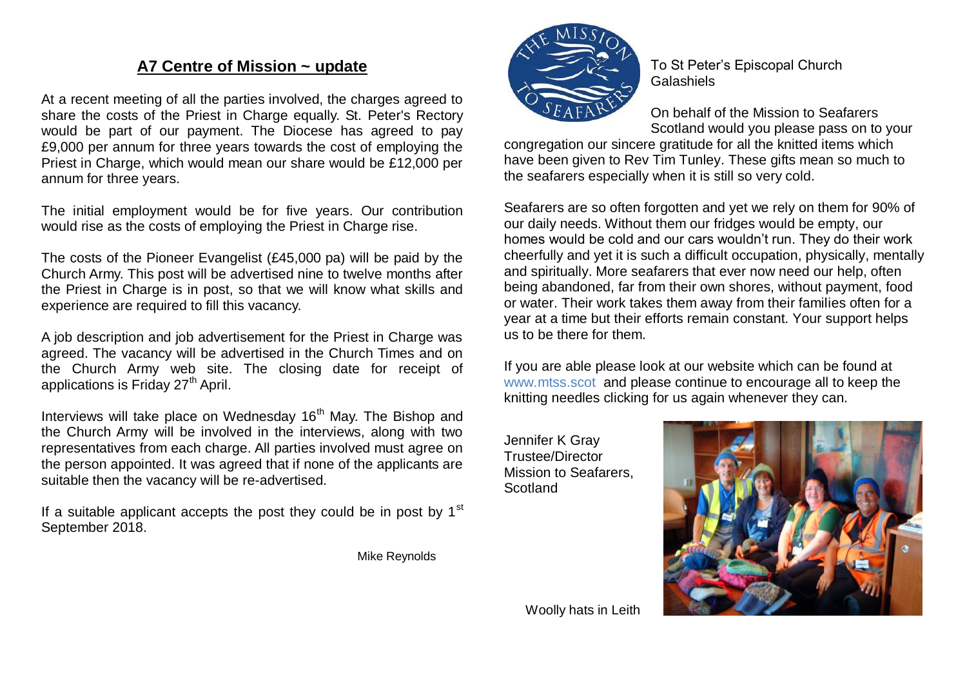# **A7 Centre of Mission ~ update**

At a recent meeting of all the parties involved, the charges agreed to share the costs of the Priest in Charge equally. St. Peter's Rectory would be part of our payment. The Diocese has agreed to pay £9,000 per annum for three years towards the cost of employing the Priest in Charge, which would mean our share would be £12,000 per annum for three years.

The initial employment would be for five years. Our contribution would rise as the costs of employing the Priest in Charge rise.

The costs of the Pioneer Evangelist (£45,000 pa) will be paid by the Church Army. This post will be advertised nine to twelve months after the Priest in Charge is in post, so that we will know what skills and experience are required to fill this vacancy.

A job description and job advertisement for the Priest in Charge was agreed. The vacancy will be advertised in the Church Times and on the Church Army web site. The closing date for receipt of applications is Friday  $27<sup>th</sup>$  April.

Interviews will take place on Wednesday  $16<sup>th</sup>$  May. The Bishop and the Church Army will be involved in the interviews, along with two representatives from each charge. All parties involved must agree on the person appointed. It was agreed that if none of the applicants are suitable then the vacancy will be re-advertised.

If a suitable applicant accepts the post they could be in post by  $1<sup>st</sup>$ September 2018.



To St Peter's Episcopal Church Galashiels

On behalf of the Mission to Seafarers Scotland would you please pass on to your

congregation our sincere gratitude for all the knitted items which have been given to Rev Tim Tunley. These gifts mean so much to the seafarers especially when it is still so very cold.

Seafarers are so often forgotten and yet we rely on them for 90% of our daily needs. Without them our fridges would be empty, our homes would be cold and our cars wouldn't run. They do their work cheerfully and yet it is such a difficult occupation, physically, mentally and spiritually. More seafarers that ever now need our help, often being abandoned, far from their own shores, without payment, food or water. Their work takes them away from their families often for a year at a time but their efforts remain constant. Your support helps us to be there for them.

If you are able please look at our website which can be found at www.mtss.scot and please continue to encourage all to keep the knitting needles clicking for us again whenever they can.

Jennifer K Gray Trustee/Director Mission to Seafarers, Scotland



Mike Reynolds

Woolly hats in Leith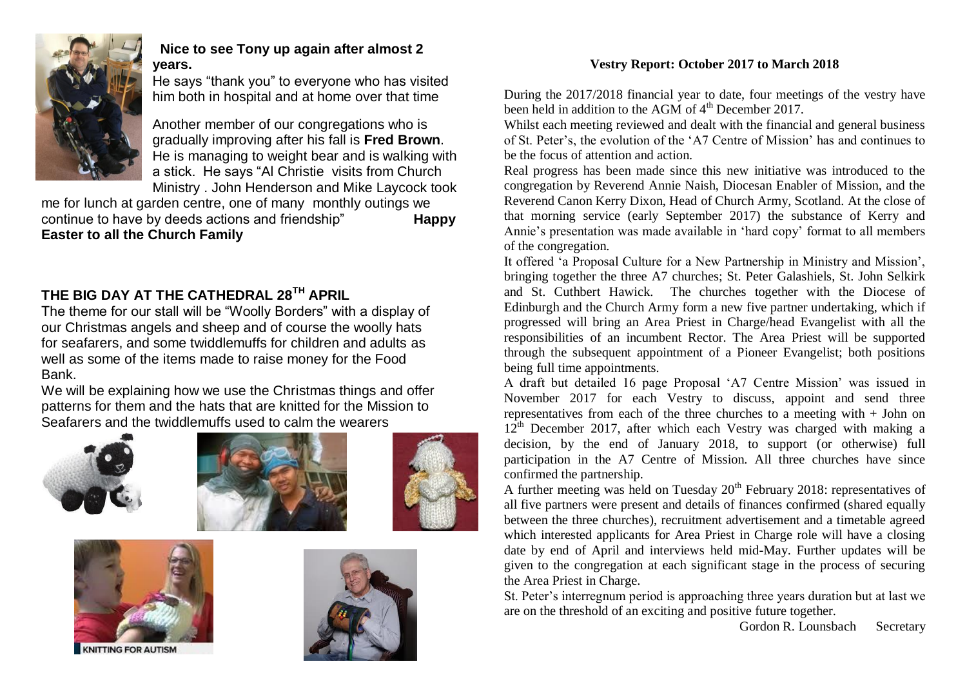

# **Nice to see Tony up again after almost 2 years.**

He says "thank you" to everyone who has visited him both in hospital and at home over that time

Another member of our congregations who is gradually improving after his fall is **Fred Brown**. He is managing to weight bear and is walking with a stick. He says "Al Christie visits from Church Ministry . John Henderson and Mike Laycock took

me for lunch at garden centre, one of many monthly outings we continue to have by deeds actions and friendship" **Happy Easter to all the Church Family**

# **THE BIG DAY AT THE CATHEDRAL 28TH APRIL**

The theme for our stall will be "Woolly Borders" with a display of our Christmas angels and sheep and of course the woolly hats for seafarers, and some twiddlemuffs for children and adults as well as some of the items made to raise money for the Food Bank.

We will be explaining how we use the Christmas things and offer patterns for them and the hats that are knitted for the Mission to Seafarers and the twiddlemuffs used to calm the wearers











## **Vestry Report: October 2017 to March 2018**

During the 2017/2018 financial year to date, four meetings of the vestry have been held in addition to the AGM of  $4<sup>th</sup>$  December 2017.

Whilst each meeting reviewed and dealt with the financial and general business of St. Peter's, the evolution of the 'A7 Centre of Mission' has and continues to be the focus of attention and action.

Real progress has been made since this new initiative was introduced to the congregation by Reverend Annie Naish, Diocesan Enabler of Mission, and the Reverend Canon Kerry Dixon, Head of Church Army, Scotland. At the close of that morning service (early September 2017) the substance of Kerry and Annie's presentation was made available in 'hard copy' format to all members of the congregation.

It offered 'a Proposal Culture for a New Partnership in Ministry and Mission', bringing together the three A7 churches; St. Peter Galashiels, St. John Selkirk and St. Cuthbert Hawick. The churches together with the Diocese of Edinburgh and the Church Army form a new five partner undertaking, which if progressed will bring an Area Priest in Charge/head Evangelist with all the responsibilities of an incumbent Rector. The Area Priest will be supported through the subsequent appointment of a Pioneer Evangelist; both positions being full time appointments.

A draft but detailed 16 page Proposal 'A7 Centre Mission' was issued in November 2017 for each Vestry to discuss, appoint and send three representatives from each of the three churches to a meeting with  $+$  John on  $12<sup>th</sup>$  December 2017, after which each Vestry was charged with making a decision, by the end of January 2018, to support (or otherwise) full participation in the A7 Centre of Mission. All three churches have since confirmed the partnership.

A further meeting was held on Tuesday  $20<sup>th</sup>$  February 2018: representatives of all five partners were present and details of finances confirmed (shared equally between the three churches), recruitment advertisement and a timetable agreed which interested applicants for Area Priest in Charge role will have a closing date by end of April and interviews held mid-May. Further updates will be given to the congregation at each significant stage in the process of securing the Area Priest in Charge.

St. Peter's interregnum period is approaching three years duration but at last we are on the threshold of an exciting and positive future together.

Gordon R. Lounsbach Secretary

**TING FOR AUTISN**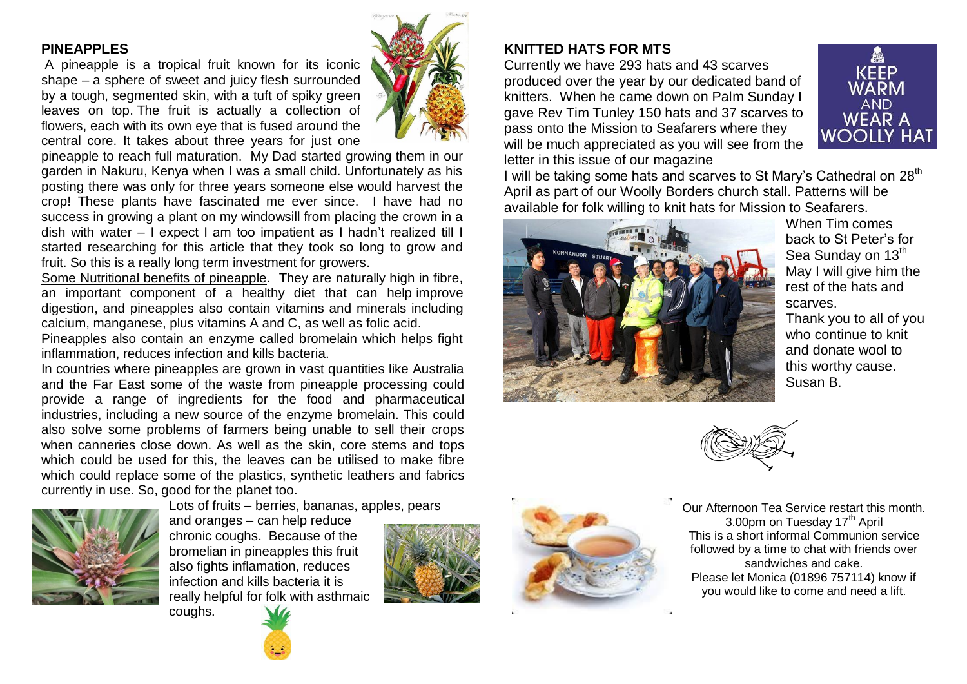### **PINEAPPLES**

A [pineapple](https://www.bbcgoodfood.com/glossary/pineapple) is a tropical fruit known for its iconic shape – a sphere of sweet and juicy flesh surrounded by a tough, segmented skin, with a tuft of spiky green leaves on top. The fruit is actually a collection of flowers, each with its own eye that is fused around the central core. It takes about three years for just one



pineapple to reach full maturation. My Dad started growing them in our garden in Nakuru, Kenya when I was a small child. Unfortunately as his posting there was only for three years someone else would harvest the crop! These plants have fascinated me ever since. I have had no success in growing a plant on my windowsill from placing the crown in a dish with water – I expect I am too impatient as I hadn't realized till I started researching for this article that they took so long to grow and fruit. So this is a really long term investment for growers.

Some Nutritional benefits of pineapple. They are naturally [high in fibre,](https://www.bbcgoodfood.com/howto/guide/spotlight-high-fibre-diets) an important component of a healthy diet that can help [improve](https://www.bbcgoodfood.com/howto/guide/digestive-health)  [digestion,](https://www.bbcgoodfood.com/howto/guide/digestive-health) and pineapples also contain [vitamins](https://www.bbcgoodfood.com/howto/guide/vital-vitamins) and [minerals](https://www.bbcgoodfood.com/howto/guide/vital-minerals) including [calcium,](https://www.bbcgoodfood.com/howto/guide/best-calcium-rich-foods) manganese, plus vitamins A and C, as well as folic acid.

Pineapples also contain an enzyme called bromelain which helps fight inflammation, reduces infection and kills bacteria.

In countries where pineapples are grown in vast quantities like Australia and the Far East some of the waste from pineapple processing could provide a range of ingredients for the food and pharmaceutical industries, including a new source of the enzyme bromelain. This could also solve some problems of farmers being unable to sell their crops when canneries close down. As well as the skin, core stems and tops which could be used for this, the leaves can be utilised to make fibre which could replace some of the plastics, synthetic leathers and fabrics currently in use. So, good for the planet too.



and oranges – can help reduce chronic coughs. Because of the bromelian in pineapples this fruit also fights inflamation, reduces

coughs.



Lots of fruits – berries, bananas, apples, pears



Currently we have 293 hats and 43 scarves produced over the year by our dedicated band of knitters. When he came down on Palm Sunday I gave Rev Tim Tunley 150 hats and 37 scarves to pass onto the Mission to Seafarers where they will be much appreciated as you will see from the letter in this issue of our magazine



I will be taking some hats and scarves to St Mary's Cathedral on 28<sup>th</sup> April as part of our Woolly Borders church stall. Patterns will be available for folk willing to knit hats for Mission to Seafarers.



When Tim comes back to St Peter's for Sea Sunday on 13<sup>th</sup> May I will give him the rest of the hats and scarves.

Thank you to all of you who continue to knit and donate wool to this worthy cause. Susan B.



Our Afternoon Tea Service restart this month. 3.00pm on Tuesday 17<sup>th</sup> April This is a short informal Communion service followed by a time to chat with friends over sandwiches and cake. Please let Monica (01896 757114) know if you would like to come and need a lift.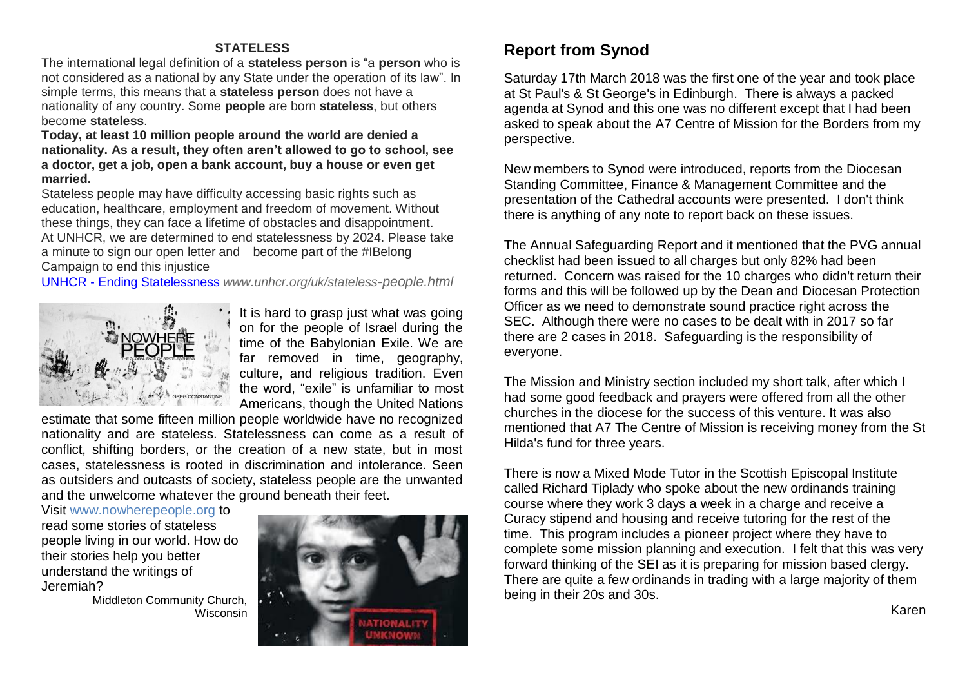#### **STATELESS**

The international legal definition of a **stateless person** is "a **person** who is not considered as a national by any State under the operation of its law". In simple terms, this means that a **stateless person** does not have a nationality of any country. Some **people** are born **stateless**, but others become **stateless**.

**Today, at least 10 million people around the world are denied a nationality. As a result, they often aren't allowed to go to school, see a doctor, get a job, open a bank account, buy a house or even get married.**

Stateless people may have difficulty accessing basic rights such as education, healthcare, employment and freedom of movement. Without these things, they can face a lifetime of obstacles and disappointment. At UNHCR, we are determined to end statelessness by 2024. Please take a minute to sign our open letter and become part of the #IBelong Campaign to end this injustice

UNHCR - [Ending Statelessness](http://www.unhcr.org/uk/stateless-people.html) *www.unhcr.org/uk/stateless-people.html*



It is hard to grasp just what was going on for the people of Israel during the time of the Babylonian Exile. We are far removed in time, geography, culture, and religious tradition. Even the word, "exile" is unfamiliar to most Americans, though the United Nations

estimate that some fifteen million people worldwide have no recognized nationality and are stateless. Statelessness can come as a result of conflict, shifting borders, or the creation of a new state, but in most cases, statelessness is rooted in discrimination and intolerance. Seen as outsiders and outcasts of society, stateless people are the unwanted and the unwelcome whatever the ground beneath their feet.

Visit www.nowherepeople.org to

read some stories of stateless people living in our world. How do their stories help you better understand the writings of Jeremiah?

> Middleton Community Church, Wisconsin



# **Report from Synod**

Saturday 17th March 2018 was the first one of the year and took place at St Paul's & St George's in Edinburgh. There is always a packed agenda at Synod and this one was no different except that I had been asked to speak about the A7 Centre of Mission for the Borders from my perspective.

New members to Synod were introduced, reports from the Diocesan Standing Committee, Finance & Management Committee and the presentation of the Cathedral accounts were presented. I don't think there is anything of any note to report back on these issues.

The Annual Safeguarding Report and it mentioned that the PVG annual checklist had been issued to all charges but only 82% had been returned. Concern was raised for the 10 charges who didn't return their forms and this will be followed up by the Dean and Diocesan Protection Officer as we need to demonstrate sound practice right across the SEC. Although there were no cases to be dealt with in 2017 so far there are 2 cases in 2018. Safeguarding is the responsibility of everyone.

The Mission and Ministry section included my short talk, after which I had some good feedback and prayers were offered from all the other churches in the diocese for the success of this venture. It was also mentioned that A7 The Centre of Mission is receiving money from the St Hilda's fund for three years.

There is now a Mixed Mode Tutor in the Scottish Episcopal Institute called Richard Tiplady who spoke about the new ordinands training course where they work 3 days a week in a charge and receive a Curacy stipend and housing and receive tutoring for the rest of the time. This program includes a pioneer project where they have to complete some mission planning and execution. I felt that this was very forward thinking of the SEI as it is preparing for mission based clergy. There are quite a few ordinands in trading with a large majority of them being in their 20s and 30s.

Karen